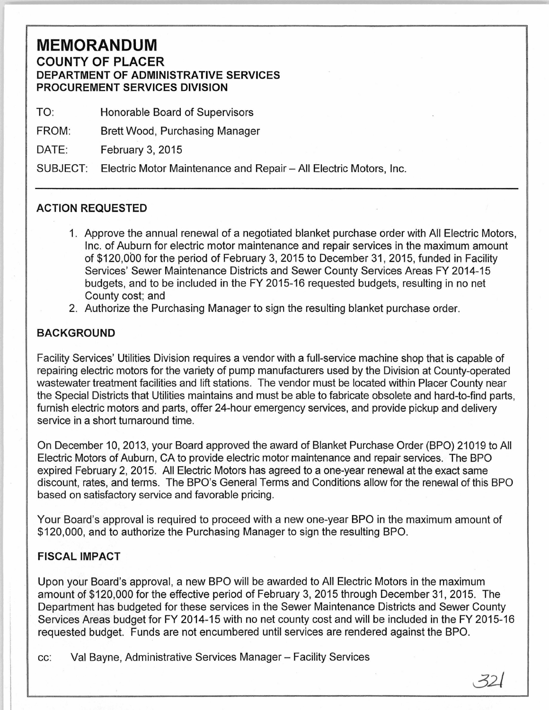## **MEMORANDUM COUNTY OF PLACER DEPARTMENT OF ADMINISTRATIVE SERVICES PROCUREMENT SERVICES DIVISION**

TO: Honorable Board of Supervisors

FROM: Brett Wood, Purchasing Manager

DATE: February 3, 2015

SUBJECT: Electric Motor Maintenance and Repair- All Electric Motors, Inc.

## **ACTION REQUESTED**

- 1. Approve the annual renewal of a negotiated blanket purchase order with All Electric Motors, Inc. of Auburn for electric motor maintenance and repair services in the maximum amount of \$120,000 for the period of February 3, 2015 to December 31, 2015, funded in Facility Services' Sewer Maintenance Districts and Sewer County Services Areas FY 2014-15 budgets, and to be included in the FY 2015-16 requested budgets, resulting in no net County cost; and
- 2. Authorize the Purchasing Manager to sign the resulting blanket purchase order.

## **BACKGROUND**

Facility Services' Utilities Division requires a vendor with a full-service machine shop that is capable of repairing electric motors for the variety of pump manufacturers used by the Division at County-operated wastewater treatment facilities and lift stations. The vendor must be located within Placer County near the Special Districts that Utilities maintains and must be able to fabricate obsolete and hard-to-find parts, furnish electric motors and parts, offer 24-hour emergency services, and provide pickup and delivery service in a short turnaround time.

On December 10, 2013, your Board approved the award of Blanket Purchase Order (BPO) 21019 to All Electric Motors of Auburn, CA to provide electric motor maintenance and repair services. The BPO expired February 2, 2015. All Electric Motors has agreed to a one-year renewal at the exact same discount, rates, and terms. The BPO's General Terms and Conditions allow for the renewal of this BPO based on satisfactory service and favorable pricing.

Your Board's approval is required to proceed with a new one-year BPO in the maximum amount of \$120,000, and to authorize the Purchasing Manager to sign the resulting BPO.

## **FISCAL IMPACT**

Upon your Board's approval, a new BPO will be awarded to All Electric Motors in the maximum amount of \$120,000 for the effective period of February 3, 2015 through December 31, 2015. The Department has budgeted for these services in the Sewer Maintenance Districts and Sewer County Services Areas budget for FY 2014-15 with no net county cost and will be included in the FY 2015-16 requested budget. Funds are not encumbered until services are rendered against the BPO.

cc: Val Bayne, Administrative Services Manager- Facility Services